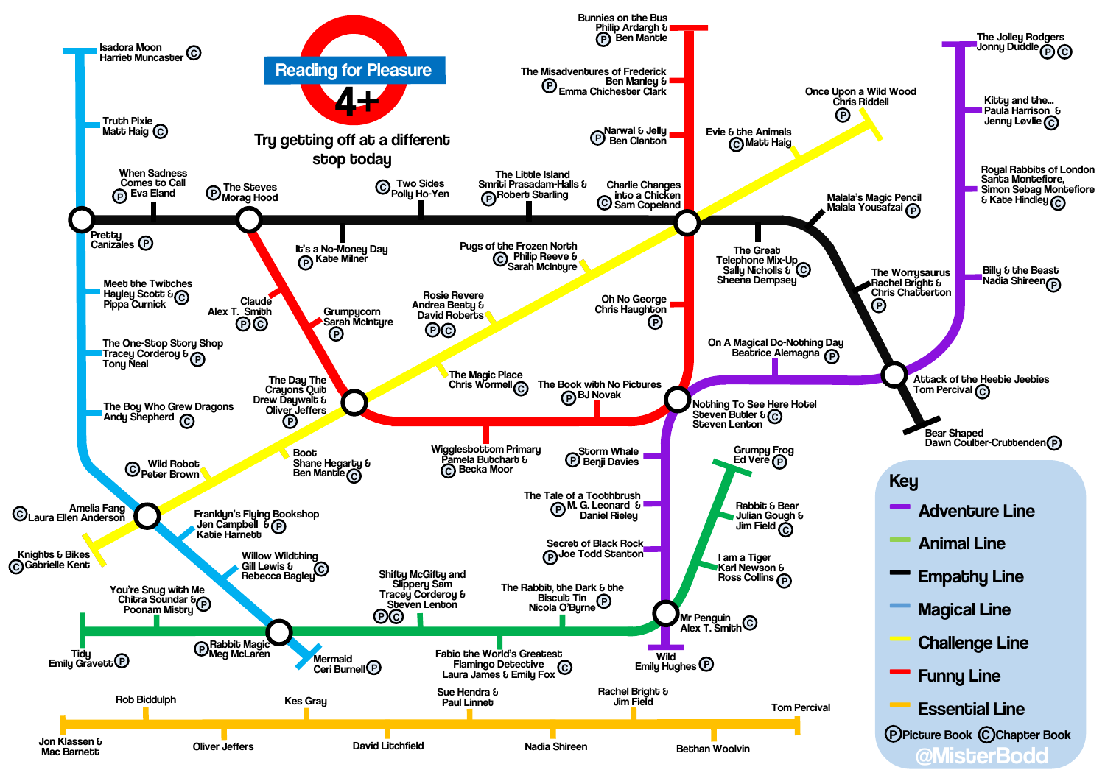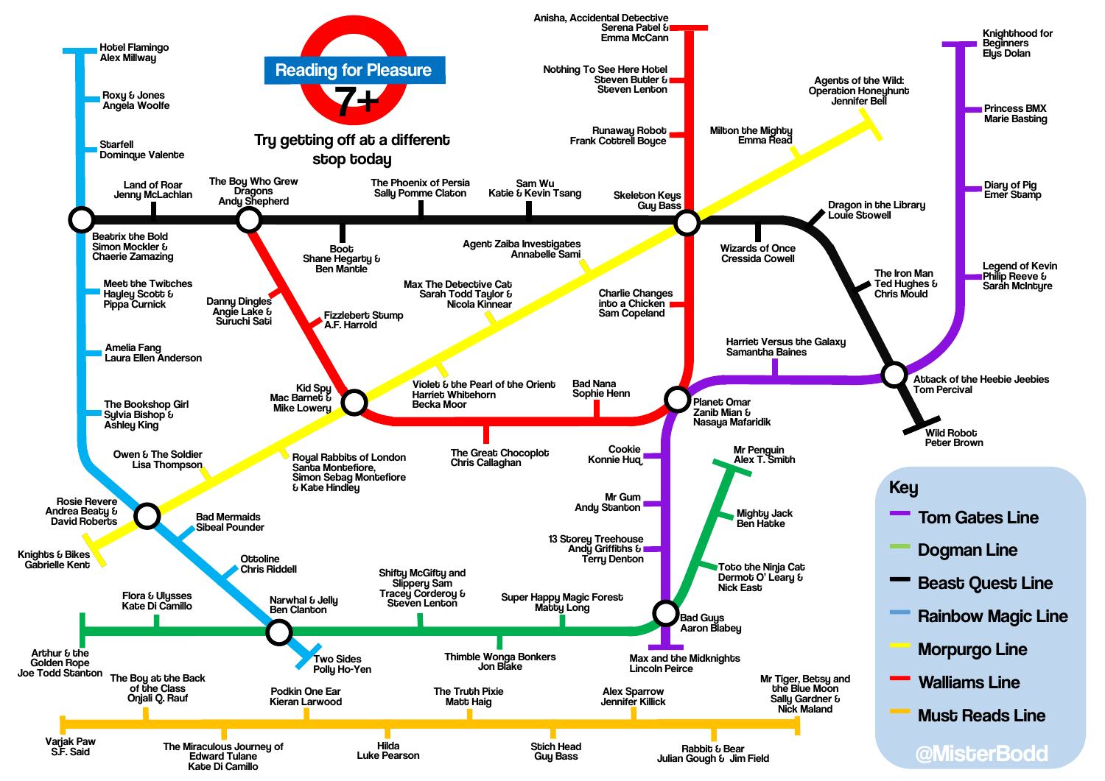